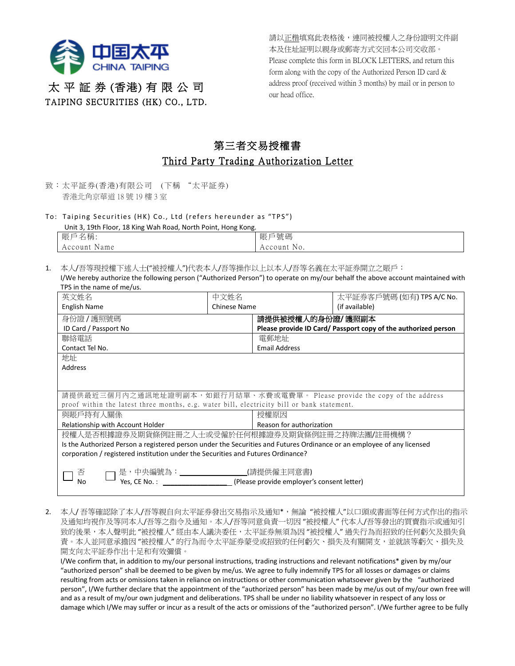

請以正楷填寫此表格後,連同被授權人之身份證明文件副 本及住址証明以親身或郵寄方式交回本公司交收部。 Please complete this form in BLOCK LETTERS, and return this form along with the copy of the Authorized Person ID card & address proof (received within 3 months) by mail or in person to our head office.

## 太 平 証 券 (香港) 有 限 公 司 TAIPING SECURITIES (HK) CO., LTD.

## 第三者交易授權書 Third Party Trading Authorization Letter

- 致:太平証券(香港)有限公司 (下稱 "太平証券) 香港北角京華道 18 號 19 樓 3 室
- To: Taiping Securities (HK) Co., Ltd (refers hereunder as "TPS")

Unit 3, 19th Floor, 18 King Wah Road, North Point, Hong Kong.

| 賬戶<br>名稱.       |  |  |  | 戶號碼<br>賬                    |
|-----------------|--|--|--|-----------------------------|
| Name<br>Account |  |  |  | $^{\dagger}$ No.<br>Account |

- 1. 本人/吾等現授權下述人士("被授權人")代表本人/吾等操作以上以本人/吾等名義在太平証券開立之賬戶:
	- I/We hereby authorize the following person ("Authorized Person") to operate on my/our behalf the above account maintained with TPS in the name of me/us.

| 英文姓名                                                                                                                   | 中文姓名         |                                                                | 太平証券客戶號碼 (如有) TPS A/C No. |  |  |  |  |  |
|------------------------------------------------------------------------------------------------------------------------|--------------|----------------------------------------------------------------|---------------------------|--|--|--|--|--|
| English Name                                                                                                           | Chinese Name |                                                                | (if available)            |  |  |  |  |  |
| 身份證/護照號碼                                                                                                               |              | 請提供被授權人的身份證/護照副本                                               |                           |  |  |  |  |  |
| ID Card / Passport No                                                                                                  |              | Please provide ID Card/ Passport copy of the authorized person |                           |  |  |  |  |  |
| 聯絡電話                                                                                                                   |              | 電郵地址                                                           |                           |  |  |  |  |  |
| Contact Tel No.                                                                                                        |              | <b>Email Address</b>                                           |                           |  |  |  |  |  |
| 地址                                                                                                                     |              |                                                                |                           |  |  |  |  |  |
| Address                                                                                                                |              |                                                                |                           |  |  |  |  |  |
|                                                                                                                        |              |                                                                |                           |  |  |  |  |  |
|                                                                                                                        |              |                                                                |                           |  |  |  |  |  |
| 請提供最近三個月內之通訊地址證明副本,如銀行月結單、水費或電費單。 Please provide the copy of the address                                               |              |                                                                |                           |  |  |  |  |  |
| proof within the latest three months, e.g. water bill, electricity bill or bank statement.                             |              |                                                                |                           |  |  |  |  |  |
| 與賬戶持有人關係                                                                                                               |              | 授權原因                                                           |                           |  |  |  |  |  |
| Relationship with Account Holder                                                                                       |              | Reason for authorization                                       |                           |  |  |  |  |  |
| 授權人是否根據證券及期貨條例註冊之人士或受僱於任何根據證券及期貨條例註冊之持牌法團/註冊機構?                                                                        |              |                                                                |                           |  |  |  |  |  |
| Is the Authorized Person a registered person under the Securities and Futures Ordinance or an employee of any licensed |              |                                                                |                           |  |  |  |  |  |
| corporation / registered institution under the Securities and Futures Ordinance?                                       |              |                                                                |                           |  |  |  |  |  |
|                                                                                                                        |              |                                                                |                           |  |  |  |  |  |
| _(請提供僱主同意書)<br>是,中央編號為:________________<br>否                                                                           |              |                                                                |                           |  |  |  |  |  |
| Yes. CE No.:<br>(Please provide employer's consent letter)<br>No                                                       |              |                                                                |                           |  |  |  |  |  |
|                                                                                                                        |              |                                                                |                           |  |  |  |  |  |

2. 本人/吾等確認除了本人/吾等親自向太平証券發出交易指示及通知\*,無論"被授權人"以口頭或書面等任何方式作出的指示 及通知均視作及等同本人/吾等之指令及通知。本人/吾等同意負責一切因 "被授權人" 代本人/吾等發出的買賣指示或通知引 致的後果,本人聲明此"被授權人"經由本人議決委任,太平証券無須為因"被授權人" 過失行為而招致的任何虧欠及損失負 責。本人並同意承擔因 "被授權人" 的行為而令太平証券蒙受或招致的任何虧欠、損失及有關開支,並就該等虧欠、損失及 開支向太平証券作出十足和有效彌償。

I/We confirm that, in addition to my/our personal instructions, trading instructions and relevant notifications\* given by my/our "authorized person" shall be deemed to be given by me/us. We agree to fully indemnify TPS for all losses or damages or claims resulting from acts or omissions taken in reliance on instructions or other communication whatsoever given by the "authorized person", I/We further declare that the appointment of the "authorized person" has been made by me/us out of my/our own free will and as a result of my/our own judgment and deliberations. TPS shall be under no liability whatsoever in respect of any loss or damage which I/We may suffer or incur as a result of the acts or omissions of the "authorized person". I/We further agree to be fully